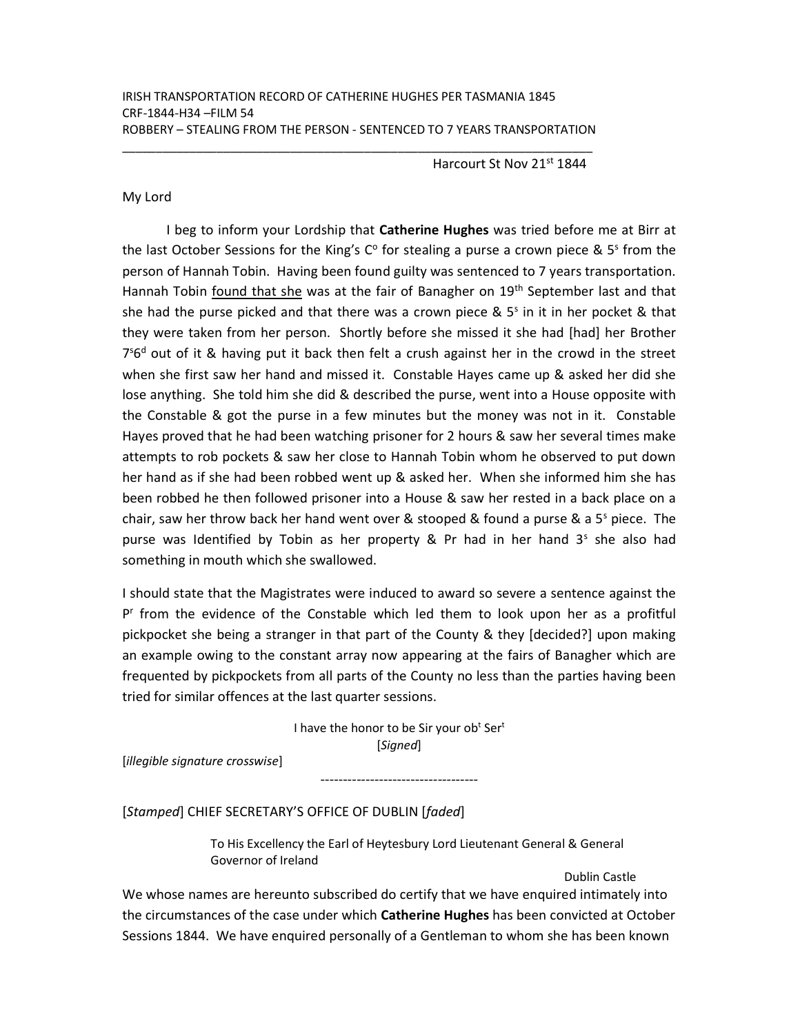\_\_\_\_\_\_\_\_\_\_\_\_\_\_\_\_\_\_\_\_\_\_\_\_\_\_\_\_\_\_\_\_\_\_\_\_\_\_\_\_\_\_\_\_\_\_\_\_\_\_\_\_\_\_\_\_\_\_\_\_\_\_\_\_\_\_\_\_\_\_

Harcourt St Nov 21<sup>st</sup> 1844

## My Lord

I beg to inform your Lordship that Catherine Hughes was tried before me at Birr at the last October Sessions for the King's  $C^{\circ}$  for stealing a purse a crown piece & 5<sup>s</sup> from the person of Hannah Tobin. Having been found guilty was sentenced to 7 years transportation. Hannah Tobin found that she was at the fair of Banagher on 19<sup>th</sup> September last and that she had the purse picked and that there was a crown piece &  $5<sup>s</sup>$  in it in her pocket & that they were taken from her person. Shortly before she missed it she had [had] her Brother 7<sup>56d</sup> out of it & having put it back then felt a crush against her in the crowd in the street when she first saw her hand and missed it. Constable Hayes came up & asked her did she lose anything. She told him she did & described the purse, went into a House opposite with the Constable & got the purse in a few minutes but the money was not in it. Constable Hayes proved that he had been watching prisoner for 2 hours & saw her several times make attempts to rob pockets & saw her close to Hannah Tobin whom he observed to put down her hand as if she had been robbed went up & asked her. When she informed him she has been robbed he then followed prisoner into a House & saw her rested in a back place on a chair, saw her throw back her hand went over & stooped & found a purse & a  $5<sup>s</sup>$  piece. The purse was Identified by Tobin as her property & Pr had in her hand 3<sup>s</sup> she also had something in mouth which she swallowed.

I should state that the Magistrates were induced to award so severe a sentence against the P<sup>r</sup> from the evidence of the Constable which led them to look upon her as a profitful pickpocket she being a stranger in that part of the County & they [decided?] upon making an example owing to the constant array now appearing at the fairs of Banagher which are frequented by pickpockets from all parts of the County no less than the parties having been tried for similar offences at the last quarter sessions.

> I have the honor to be Sir your ob<sup>t</sup> Ser<sup>t</sup> [Signed]

> > -----------------------------------

[illegible signature crosswise]

[Stamped] CHIEF SECRETARY'S OFFICE OF DUBLIN [faded]

To His Excellency the Earl of Heytesbury Lord Lieutenant General & General Governor of Ireland

Dublin Castle

We whose names are hereunto subscribed do certify that we have enquired intimately into the circumstances of the case under which **Catherine Hughes** has been convicted at October Sessions 1844. We have enquired personally of a Gentleman to whom she has been known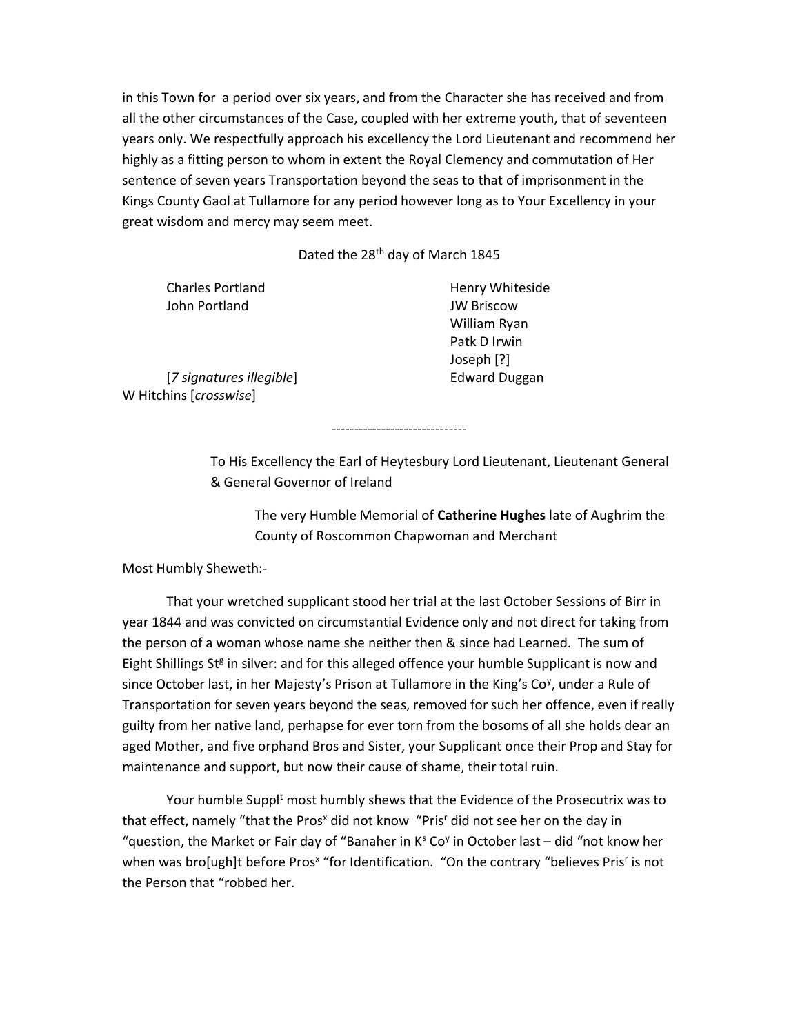in this Town for a period over six years, and from the Character she has received and from all the other circumstances of the Case, coupled with her extreme youth, that of seventeen years only. We respectfully approach his excellency the Lord Lieutenant and recommend her highly as a fitting person to whom in extent the Royal Clemency and commutation of Her sentence of seven years Transportation beyond the seas to that of imprisonment in the Kings County Gaol at Tullamore for any period however long as to Your Excellency in your great wisdom and mercy may seem meet.

Dated the 28<sup>th</sup> day of March 1845

John Portland JW Briscow

Charles Portland **Henry Whiteside**  William Ryan Patk D Irwin Joseph [?]

[7 signatures illegible] Edward Duggan W Hitchins [crosswise]

------------------------------

To His Excellency the Earl of Heytesbury Lord Lieutenant, Lieutenant General & General Governor of Ireland

The very Humble Memorial of Catherine Hughes late of Aughrim the County of Roscommon Chapwoman and Merchant

Most Humbly Sheweth:-

 That your wretched supplicant stood her trial at the last October Sessions of Birr in year 1844 and was convicted on circumstantial Evidence only and not direct for taking from the person of a woman whose name she neither then & since had Learned. The sum of Eight Shillings St<sup>g</sup> in silver: and for this alleged offence your humble Supplicant is now and since October last, in her Majesty's Prison at Tullamore in the King's Co<sup>y</sup>, under a Rule of Transportation for seven years beyond the seas, removed for such her offence, even if really guilty from her native land, perhapse for ever torn from the bosoms of all she holds dear an aged Mother, and five orphand Bros and Sister, your Supplicant once their Prop and Stay for maintenance and support, but now their cause of shame, their total ruin.

Your humble Suppl<sup>t</sup> most humbly shews that the Evidence of the Prosecutrix was to that effect, namely "that the Pros<sup>x</sup> did not know "Pris<sup>r</sup> did not see her on the day in "question, the Market or Fair day of "Banaher in  $K<sup>s</sup>$  Co<sup>y</sup> in October last – did "not know her when was bro[ugh]t before Pros<sup>x</sup> "for Identification. "On the contrary "believes Pris<sup>r</sup> is not the Person that "robbed her.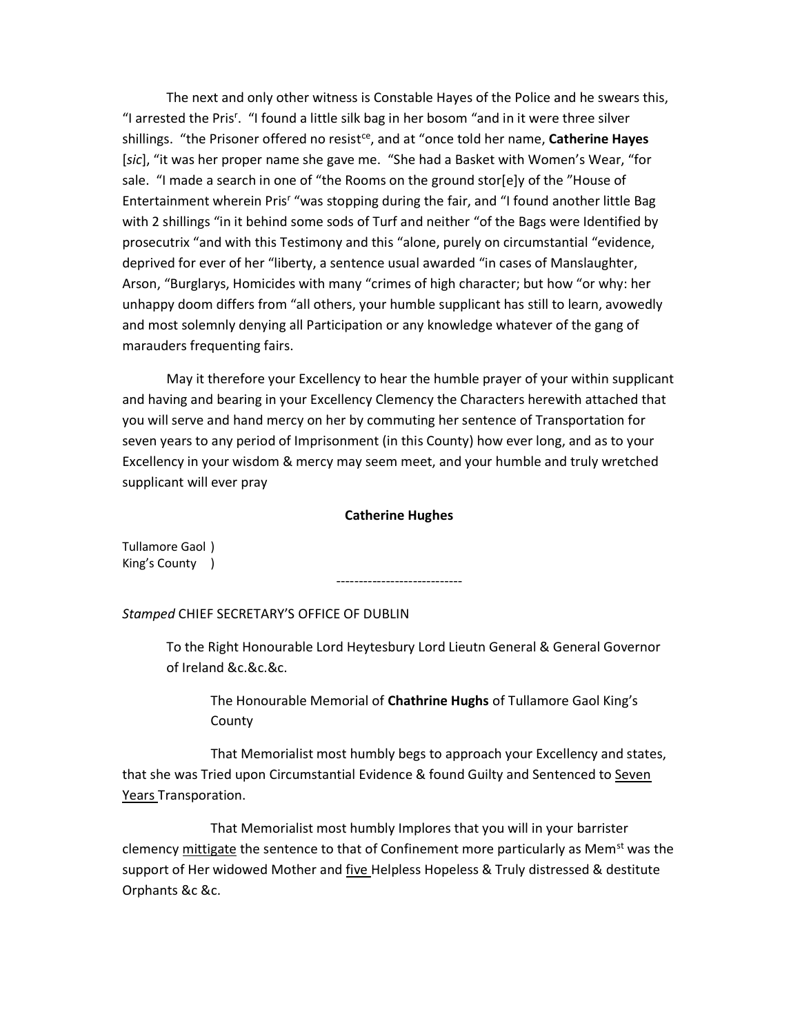The next and only other witness is Constable Hayes of the Police and he swears this, "I arrested the Pris<sup>r</sup>. "I found a little silk bag in her bosom "and in it were three silver shillings. "the Prisoner offered no resist<sup>ce</sup>, and at "once told her name, Catherine Hayes [sic], "it was her proper name she gave me. "She had a Basket with Women's Wear, "for sale. "I made a search in one of "the Rooms on the ground stor[e]y of the "House of Entertainment wherein Pris<sup>r</sup> "was stopping during the fair, and "I found another little Bag with 2 shillings "in it behind some sods of Turf and neither "of the Bags were Identified by prosecutrix "and with this Testimony and this "alone, purely on circumstantial "evidence, deprived for ever of her "liberty, a sentence usual awarded "in cases of Manslaughter, Arson, "Burglarys, Homicides with many "crimes of high character; but how "or why: her unhappy doom differs from "all others, your humble supplicant has still to learn, avowedly and most solemnly denying all Participation or any knowledge whatever of the gang of marauders frequenting fairs.

 May it therefore your Excellency to hear the humble prayer of your within supplicant and having and bearing in your Excellency Clemency the Characters herewith attached that you will serve and hand mercy on her by commuting her sentence of Transportation for seven years to any period of Imprisonment (in this County) how ever long, and as to your Excellency in your wisdom & mercy may seem meet, and your humble and truly wretched supplicant will ever pray

## Catherine Hughes

----------------------------

Tullamore Gaol ) King's County )

Stamped CHIEF SECRETARY'S OFFICE OF DUBLIN

To the Right Honourable Lord Heytesbury Lord Lieutn General & General Governor of Ireland &c.&c.&c.

 The Honourable Memorial of Chathrine Hughs of Tullamore Gaol King's **County** 

 That Memorialist most humbly begs to approach your Excellency and states, that she was Tried upon Circumstantial Evidence & found Guilty and Sentenced to Seven Years Transporation.

 That Memorialist most humbly Implores that you will in your barrister clemency mittigate the sentence to that of Confinement more particularly as Mem<sup>st</sup> was the support of Her widowed Mother and five Helpless Hopeless & Truly distressed & destitute Orphants &c &c.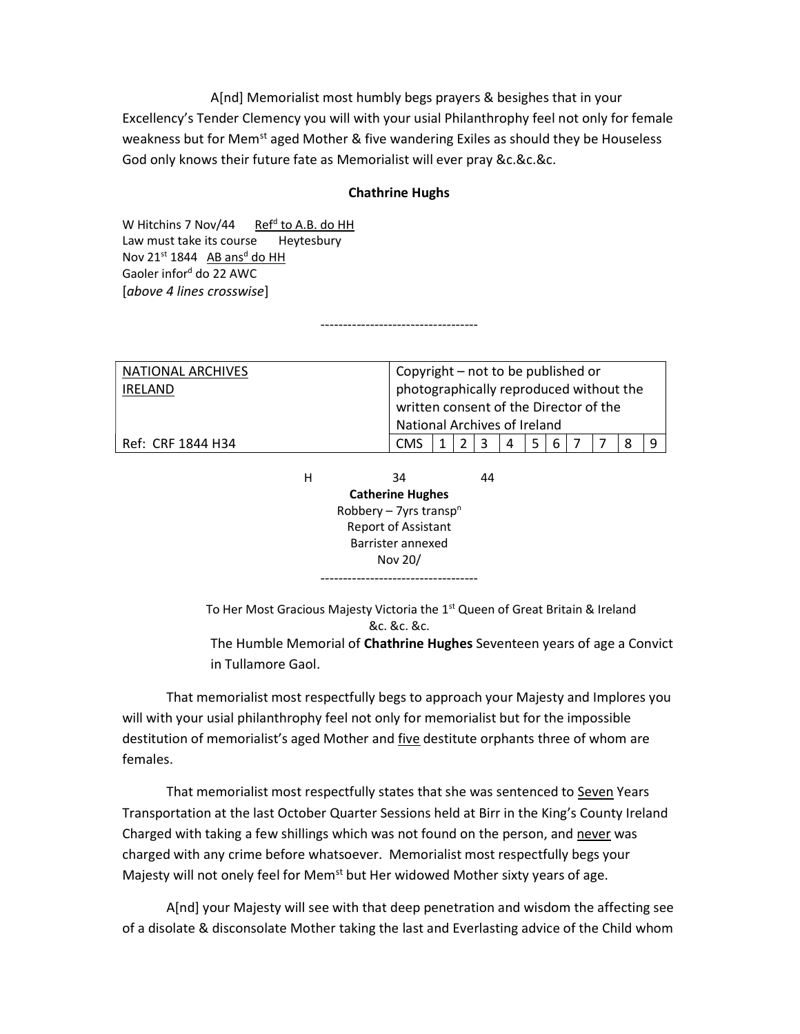A[nd] Memorialist most humbly begs prayers & besighes that in your Excellency's Tender Clemency you will with your usial Philanthrophy feel not only for female weakness but for Mem<sup>st</sup> aged Mother & five wandering Exiles as should they be Houseless God only knows their future fate as Memorialist will ever pray &c.&c.&c.

## Chathrine Hughs

-----------------------------------

W Hitchins 7 Nov/44 Ref<sup>d</sup> to A.B. do HH Law must take its course Heytesbury Nov  $21^{st}$  1844  $AB$  ans<sup>d</sup> do HH Gaoler infor<sup>d</sup> do 22 AWC [above 4 lines crosswise]

| NATIONAL ARCHIVES                  |            | Copyright – not to be published or      |   |    |   |   |   |   |  |   |   |
|------------------------------------|------------|-----------------------------------------|---|----|---|---|---|---|--|---|---|
| <b>IRELAND</b>                     |            | photographically reproduced without the |   |    |   |   |   |   |  |   |   |
|                                    |            | written consent of the Director of the  |   |    |   |   |   |   |  |   |   |
|                                    |            | National Archives of Ireland            |   |    |   |   |   |   |  |   |   |
| Ref: CRF 1844 H34                  | <b>CMS</b> | 1                                       | 2 | 3  | 4 | 5 | 6 | 7 |  | 8 | 9 |
|                                    |            |                                         |   |    |   |   |   |   |  |   |   |
| н                                  | 34         |                                         |   | 44 |   |   |   |   |  |   |   |
| <b>Catherine Hughes</b>            |            |                                         |   |    |   |   |   |   |  |   |   |
| Robbery – 7yrs transp <sup>n</sup> |            |                                         |   |    |   |   |   |   |  |   |   |
| <b>Report of Assistant</b>         |            |                                         |   |    |   |   |   |   |  |   |   |
| Barrister annexed                  |            |                                         |   |    |   |   |   |   |  |   |   |
| Nov 20/                            |            |                                         |   |    |   |   |   |   |  |   |   |
| -----------------                  |            |                                         |   |    |   |   |   |   |  |   |   |
|                                    |            |                                         |   |    |   |   |   |   |  |   |   |

To Her Most Gracious Majesty Victoria the 1<sup>st</sup> Queen of Great Britain & Ireland &c. &c. &c.

The Humble Memorial of Chathrine Hughes Seventeen years of age a Convict in Tullamore Gaol.

 That memorialist most respectfully begs to approach your Majesty and Implores you will with your usial philanthrophy feel not only for memorialist but for the impossible destitution of memorialist's aged Mother and five destitute orphants three of whom are females.

 That memorialist most respectfully states that she was sentenced to Seven Years Transportation at the last October Quarter Sessions held at Birr in the King's County Ireland Charged with taking a few shillings which was not found on the person, and never was charged with any crime before whatsoever. Memorialist most respectfully begs your Majesty will not onely feel for Mem<sup>st</sup> but Her widowed Mother sixty years of age.

 A[nd] your Majesty will see with that deep penetration and wisdom the affecting see of a disolate & disconsolate Mother taking the last and Everlasting advice of the Child whom